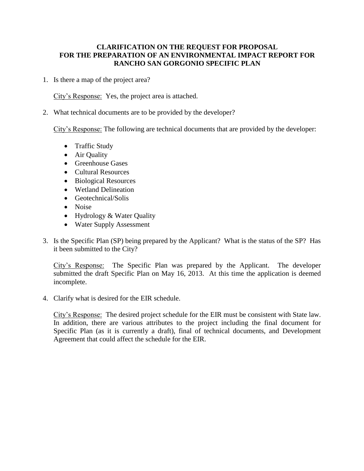## **CLARIFICATION ON THE REQUEST FOR PROPOSAL FOR THE PREPARATION OF AN ENVIRONMENTAL IMPACT REPORT FOR RANCHO SAN GORGONIO SPECIFIC PLAN**

1. Is there a map of the project area?

City's Response: Yes, the project area is attached.

2. What technical documents are to be provided by the developer?

City's Response: The following are technical documents that are provided by the developer:

- Traffic Study
- Air Quality
- Greenhouse Gases
- Cultural Resources
- Biological Resources
- Wetland Delineation
- Geotechnical/Solis
- Noise
- Hydrology & Water Quality
- Water Supply Assessment
- 3. Is the Specific Plan (SP) being prepared by the Applicant? What is the status of the SP? Has it been submitted to the City?

City's Response: The Specific Plan was prepared by the Applicant. The developer submitted the draft Specific Plan on May 16, 2013. At this time the application is deemed incomplete.

4. Clarify what is desired for the EIR schedule.

City's Response: The desired project schedule for the EIR must be consistent with State law. In addition, there are various attributes to the project including the final document for Specific Plan (as it is currently a draft), final of technical documents, and Development Agreement that could affect the schedule for the EIR.